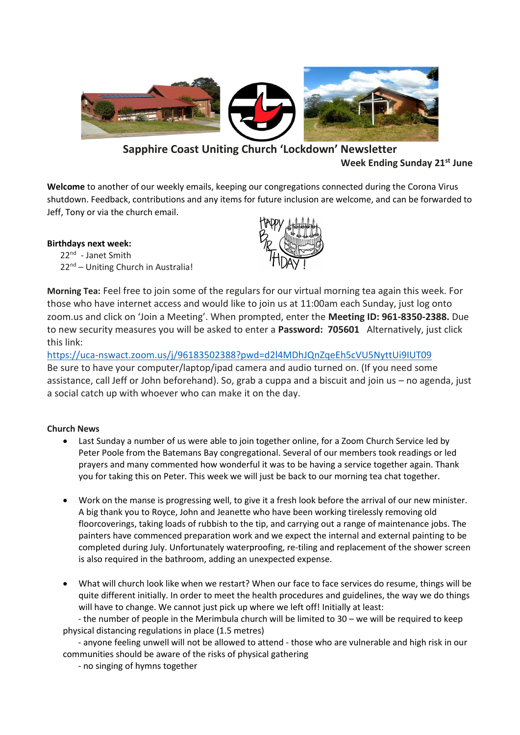

**Sapphire Coast Uniting Church 'Lockdown' Newsletter Week Ending Sunday 21st June**

**Welcome** to another of our weekly emails, keeping our congregations connected during the Corona Virus shutdown. Feedback, contributions and any items for future inclusion are welcome, and can be forwarded to Jeff, Tony or via the church email.

# **Birthdays next week:**

22<sup>nd</sup> - Janet Smith 22<sup>nd</sup> – Uniting Church in Australia!



**Morning Tea:** Feel free to join some of the regulars for our virtual morning tea again this week. For those who have internet access and would like to join us at 11:00am each Sunday, just log onto zoom.us and click on 'Join a Meeting'. When prompted, enter the **Meeting ID: 961-8350-2388.** Due to new security measures you will be asked to enter a **Password: 705601** Alternatively, just click this link:

<https://uca-nswact.zoom.us/j/96183502388?pwd=d2l4MDhJQnZqeEh5cVU5NyttUi9IUT09> Be sure to have your computer/laptop/ipad camera and audio turned on. (If you need some assistance, call Jeff or John beforehand). So, grab a cuppa and a biscuit and join us – no agenda, just a social catch up with whoever who can make it on the day.

# **Church News**

- Last Sunday a number of us were able to join together online, for a Zoom Church Service led by Peter Poole from the Batemans Bay congregational. Several of our members took readings or led prayers and many commented how wonderful it was to be having a service together again. Thank you for taking this on Peter. This week we will just be back to our morning tea chat together.
- Work on the manse is progressing well, to give it a fresh look before the arrival of our new minister. A big thank you to Royce, John and Jeanette who have been working tirelessly removing old floorcoverings, taking loads of rubbish to the tip, and carrying out a range of maintenance jobs. The painters have commenced preparation work and we expect the internal and external painting to be completed during July. Unfortunately waterproofing, re-tiling and replacement of the shower screen is also required in the bathroom, adding an unexpected expense.
- What will church look like when we restart? When our face to face services do resume, things will be quite different initially. In order to meet the health procedures and guidelines, the way we do things will have to change. We cannot just pick up where we left off! Initially at least:

 - the number of people in the Merimbula church will be limited to 30 – we will be required to keep physical distancing regulations in place (1.5 metres)

 - anyone feeling unwell will not be allowed to attend - those who are vulnerable and high risk in our communities should be aware of the risks of physical gathering

- no singing of hymns together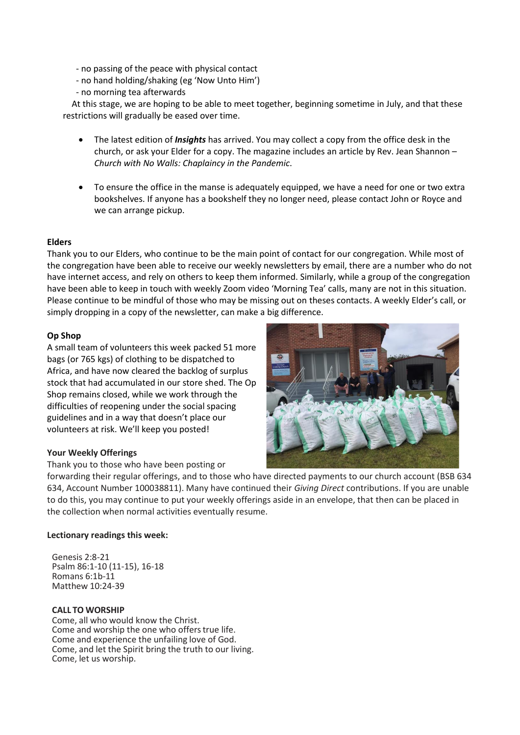- no passing of the peace with physical contact
- no hand holding/shaking (eg 'Now Unto Him')
- no morning tea afterwards

 At this stage, we are hoping to be able to meet together, beginning sometime in July, and that these restrictions will gradually be eased over time.

- The latest edition of *Insights* has arrived. You may collect a copy from the office desk in the church, or ask your Elder for a copy. The magazine includes an article by Rev. Jean Shannon – *Church with No Walls: Chaplaincy in the Pandemic*.
- To ensure the office in the manse is adequately equipped, we have a need for one or two extra bookshelves. If anyone has a bookshelf they no longer need, please contact John or Royce and we can arrange pickup.

### **Elders**

Thank you to our Elders, who continue to be the main point of contact for our congregation. While most of the congregation have been able to receive our weekly newsletters by email, there are a number who do not have internet access, and rely on others to keep them informed. Similarly, while a group of the congregation have been able to keep in touch with weekly Zoom video 'Morning Tea' calls, many are not in this situation. Please continue to be mindful of those who may be missing out on theses contacts. A weekly Elder's call, or simply dropping in a copy of the newsletter, can make a big difference.

### **Op Shop**

A small team of volunteers this week packed 51 more bags (or 765 kgs) of clothing to be dispatched to Africa, and have now cleared the backlog of surplus stock that had accumulated in our store shed. The Op Shop remains closed, while we work through the difficulties of reopening under the social spacing guidelines and in a way that doesn't place our volunteers at risk. We'll keep you posted!

### **Your Weekly Offerings**

Thank you to those who have been posting or



forwarding their regular offerings, and to those who have directed payments to our church account (BSB 634 634, Account Number 100038811). Many have continued their *Giving Direct* contributions. If you are unable to do this, you may continue to put your weekly offerings aside in an envelope, that then can be placed in the collection when normal activities eventually resume.

#### **Lectionary readings this week:**

Genesis 2:8-21 Psalm 86:1-10 (11-15), 16-18 Romans 6:1b-11 Matthew 10:24-39

### **CALL TO WORSHIP**

Come, all who would know the Christ. Come and worship the one who offers true life. Come and experience the unfailing love of God. Come, and let the Spirit bring the truth to our living. Come, let us worship.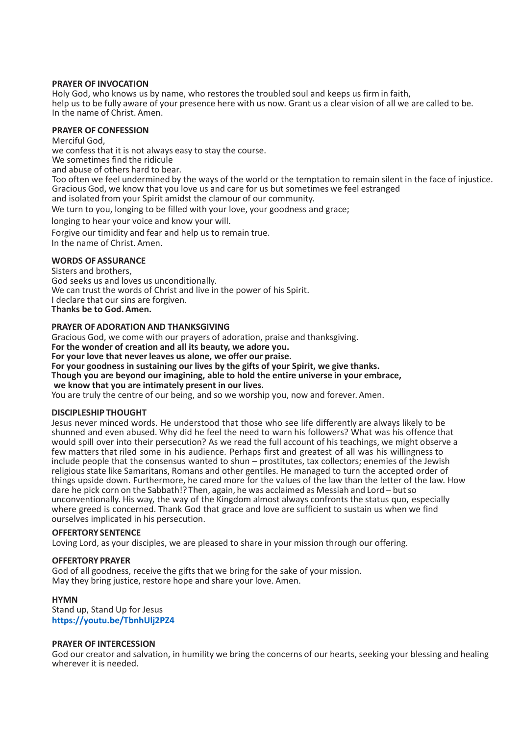#### **PRAYER OF INVOCATION**

Holy God, who knows us by name, who restores the troubled soul and keeps us firm in faith, help us to be fully aware of your presence here with us now. Grant us a clear vision of all we are called to be. In the name of Christ. Amen.

## **PRAYER OF CONFESSION**

Merciful God,

we confess that it is not always easy to stay the course.

We sometimes find the ridicule

and abuse of others hard to bear.

Too often we feel undermined by the ways of the world or the temptation to remain silent in the face of injustice. Gracious God, we know that you love us and care for us but sometimes we feel estranged

and isolated from your Spirit amidst the clamour of our community.

We turn to you, longing to be filled with your love, your goodness and grace;

longing to hear your voice and know your will.

Forgive our timidity and fear and help us to remain true. In the name of Christ. Amen.

# **WORDS OFASSURANCE**

Sisters and brothers, God seeks us and loves us unconditionally. We can trust the words of Christ and live in the power of his Spirit. I declare that our sins are forgiven. **Thanks be to God. Amen.**

### **PRAYER OFADORATION AND THANKSGIVING**

Gracious God, we come with our prayers of adoration, praise and thanksgiving. **For the wonder of creation and all its beauty, we adore you.**

**For your love that never leaves us alone, we offer our praise.**

**For your goodness in sustaining our lives by the gifts of your Spirit, we give thanks.**

**Though you are beyond our imagining, able to hold the entire universe in your embrace,**

**we know that you are intimately present in our lives.**

You are truly the centre of our being, and so we worship you, now and forever. Amen.

### **DISCIPLESHIP THOUGHT**

Jesus never minced words. He understood that those who see life differently are always likely to be shunned and even abused. Why did he feel the need to warn his followers? What was his offence that would spill over into their persecution? As we read the full account of his teachings, we might observe a few matters that riled some in his audience. Perhaps first and greatest of all was his willingness to include people that the consensus wanted to shun – prostitutes, tax collectors; enemies of the Jewish religious state like Samaritans, Romans and other gentiles. He managed to turn the accepted order of things upside down. Furthermore, he cared more for the values of the law than the letter of the law. How dare he pick corn on the Sabbath!? Then, again, he was acclaimed as Messiah and Lord – butso unconventionally. His way, the way of the Kingdom almost always confronts the status quo, especially where greed is concerned. Thank God that grace and love are sufficient to sustain us when we find ourselves implicated in his persecution.

#### **OFFERTORY SENTENCE**

Loving Lord, as your disciples, we are pleased to share in your mission through our offering.

#### **OFFERTORY PRAYER**

God of all goodness, receive the gifts that we bring for the sake of your mission. May they bring justice, restore hope and share your love. Amen.

### **HYMN**

Stand up, Stand Up for Jesus **<https://youtu.be/TbnhUlj2PZ4>**

#### **PRAYER OF INTERCESSION**

God our creator and salvation, in humility we bring the concerns of our hearts, seeking your blessing and healing wherever it is needed.